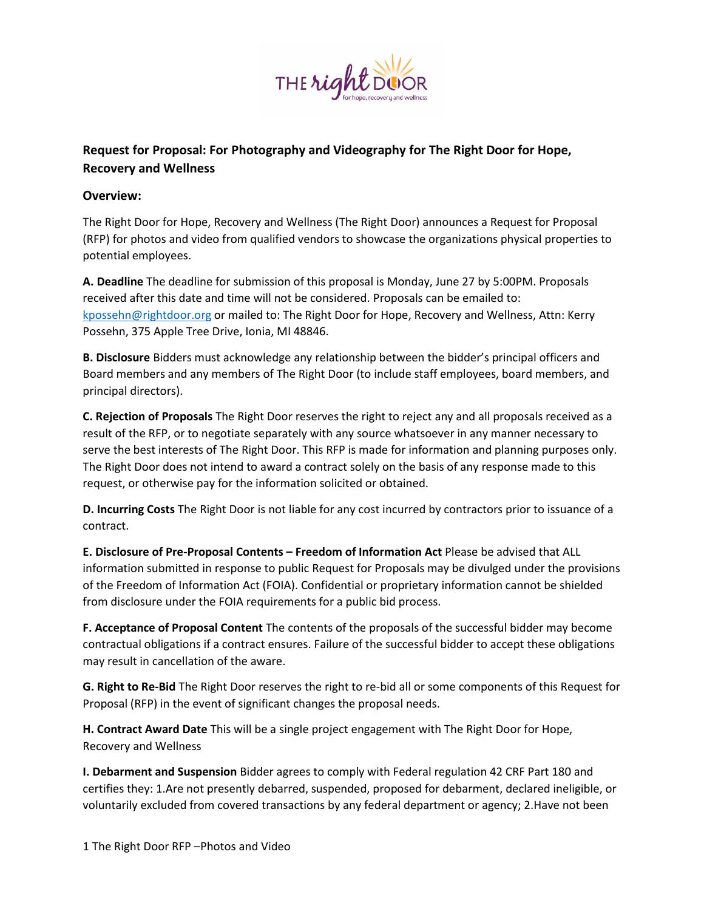

# **Request for Proposal: For Photography and Videography for The Right Door for Hope, Recovery and Wellness**

## **Overview:**

The Right Door for Hope, Recovery and Wellness (The Right Door) announces a Request for Proposal (RFP) for photos and video from qualified vendors to showcase the organizations physical properties to potential employees.

**A. Deadline** The deadline for submission of this proposal is Monday, June 27 by 5:00PM. Proposals received after this date and time will not be considered. Proposals can be emailed to: [kpossehn@rightdoor.org](mailto:kpossehn@rightdoor.org) or mailed to: The Right Door for Hope, Recovery and Wellness, Attn: Kerry Possehn, 375 Apple Tree Drive, Ionia, MI 48846.

**B. Disclosure** Bidders must acknowledge any relationship between the bidder's principal officers and Board members and any members of The Right Door (to include staff employees, board members, and principal directors).

**C. Rejection of Proposals** The Right Door reserves the right to reject any and all proposals received as a result of the RFP, or to negotiate separately with any source whatsoever in any manner necessary to serve the best interests of The Right Door. This RFP is made for information and planning purposes only. The Right Door does not intend to award a contract solely on the basis of any response made to this request, or otherwise pay for the information solicited or obtained.

**D. Incurring Costs** The Right Door is not liable for any cost incurred by contractors prior to issuance of a contract.

**E. Disclosure of Pre-Proposal Contents – Freedom of Information Act** Please be advised that ALL information submitted in response to public Request for Proposals may be divulged under the provisions of the Freedom of Information Act (FOIA). Confidential or proprietary information cannot be shielded from disclosure under the FOIA requirements for a public bid process.

**F. Acceptance of Proposal Content** The contents of the proposals of the successful bidder may become contractual obligations if a contract ensures. Failure of the successful bidder to accept these obligations may result in cancellation of the aware.

**G. Right to Re-Bid** The Right Door reserves the right to re-bid all or some components of this Request for Proposal (RFP) in the event of significant changes the proposal needs.

**H. Contract Award Date** This will be a single project engagement with The Right Door for Hope, Recovery and Wellness

**I. Debarment and Suspension** Bidder agrees to comply with Federal regulation 42 CRF Part 180 and certifies they: 1.Are not presently debarred, suspended, proposed for debarment, declared ineligible, or voluntarily excluded from covered transactions by any federal department or agency; 2.Have not been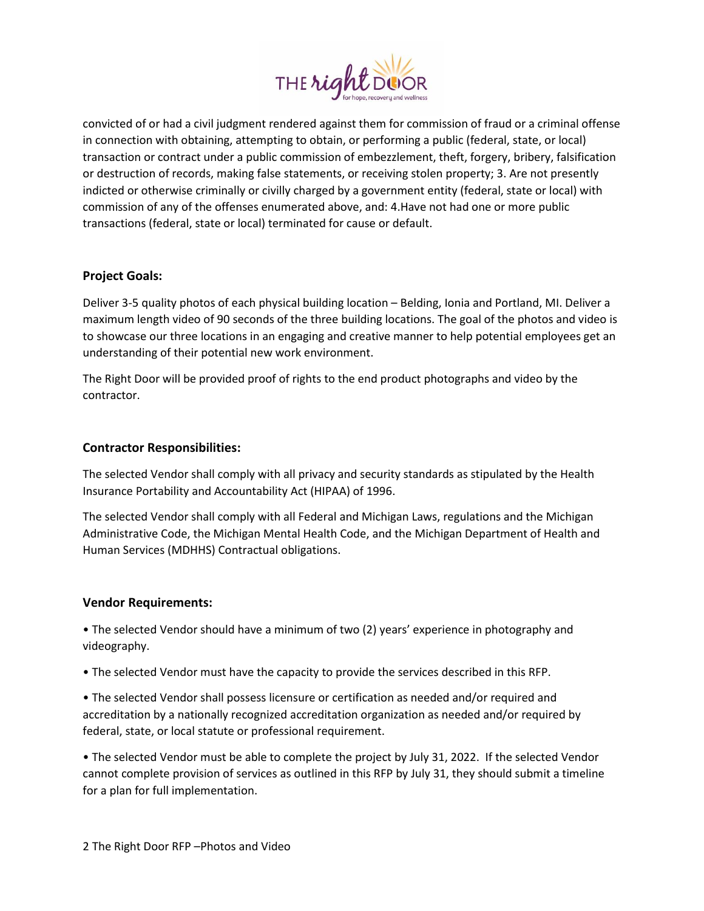

convicted of or had a civil judgment rendered against them for commission of fraud or a criminal offense in connection with obtaining, attempting to obtain, or performing a public (federal, state, or local) transaction or contract under a public commission of embezzlement, theft, forgery, bribery, falsification or destruction of records, making false statements, or receiving stolen property; 3. Are not presently indicted or otherwise criminally or civilly charged by a government entity (federal, state or local) with commission of any of the offenses enumerated above, and: 4.Have not had one or more public transactions (federal, state or local) terminated for cause or default.

### **Project Goals:**

Deliver 3-5 quality photos of each physical building location – Belding, Ionia and Portland, MI. Deliver a maximum length video of 90 seconds of the three building locations. The goal of the photos and video is to showcase our three locations in an engaging and creative manner to help potential employees get an understanding of their potential new work environment.

The Right Door will be provided proof of rights to the end product photographs and video by the contractor.

#### **Contractor Responsibilities:**

The selected Vendor shall comply with all privacy and security standards as stipulated by the Health Insurance Portability and Accountability Act (HIPAA) of 1996.

The selected Vendor shall comply with all Federal and Michigan Laws, regulations and the Michigan Administrative Code, the Michigan Mental Health Code, and the Michigan Department of Health and Human Services (MDHHS) Contractual obligations.

#### **Vendor Requirements:**

• The selected Vendor should have a minimum of two (2) years' experience in photography and videography.

• The selected Vendor must have the capacity to provide the services described in this RFP.

• The selected Vendor shall possess licensure or certification as needed and/or required and accreditation by a nationally recognized accreditation organization as needed and/or required by federal, state, or local statute or professional requirement.

• The selected Vendor must be able to complete the project by July 31, 2022. If the selected Vendor cannot complete provision of services as outlined in this RFP by July 31, they should submit a timeline for a plan for full implementation.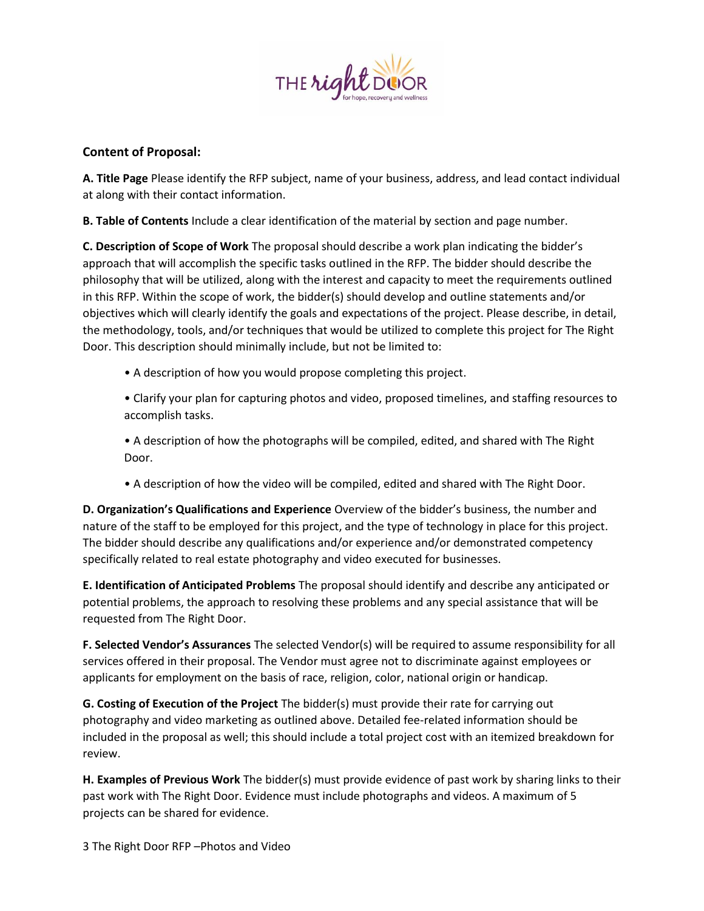

## **Content of Proposal:**

**A. Title Page** Please identify the RFP subject, name of your business, address, and lead contact individual at along with their contact information.

**B. Table of Contents** Include a clear identification of the material by section and page number.

**C. Description of Scope of Work** The proposal should describe a work plan indicating the bidder's approach that will accomplish the specific tasks outlined in the RFP. The bidder should describe the philosophy that will be utilized, along with the interest and capacity to meet the requirements outlined in this RFP. Within the scope of work, the bidder(s) should develop and outline statements and/or objectives which will clearly identify the goals and expectations of the project. Please describe, in detail, the methodology, tools, and/or techniques that would be utilized to complete this project for The Right Door. This description should minimally include, but not be limited to:

• A description of how you would propose completing this project.

• Clarify your plan for capturing photos and video, proposed timelines, and staffing resources to accomplish tasks.

• A description of how the photographs will be compiled, edited, and shared with The Right Door.

• A description of how the video will be compiled, edited and shared with The Right Door.

**D. Organization's Qualifications and Experience** Overview of the bidder's business, the number and nature of the staff to be employed for this project, and the type of technology in place for this project. The bidder should describe any qualifications and/or experience and/or demonstrated competency specifically related to real estate photography and video executed for businesses.

**E. Identification of Anticipated Problems** The proposal should identify and describe any anticipated or potential problems, the approach to resolving these problems and any special assistance that will be requested from The Right Door.

**F. Selected Vendor's Assurances** The selected Vendor(s) will be required to assume responsibility for all services offered in their proposal. The Vendor must agree not to discriminate against employees or applicants for employment on the basis of race, religion, color, national origin or handicap.

**G. Costing of Execution of the Project** The bidder(s) must provide their rate for carrying out photography and video marketing as outlined above. Detailed fee-related information should be included in the proposal as well; this should include a total project cost with an itemized breakdown for review.

**H. Examples of Previous Work** The bidder(s) must provide evidence of past work by sharing links to their past work with The Right Door. Evidence must include photographs and videos. A maximum of 5 projects can be shared for evidence.

3 The Right Door RFP –Photos and Video